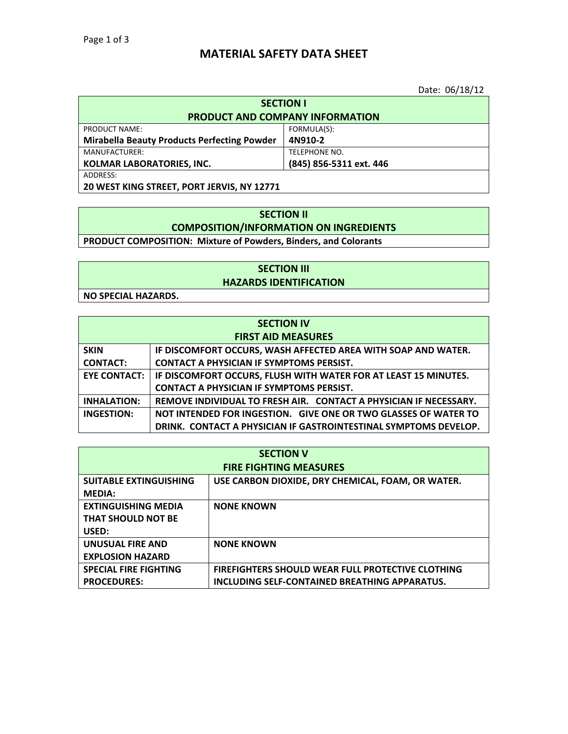## **MATERIAL SAFETY DATA SHEET**

Date: 06/18/12

| <b>SECTION I</b>                                            |               |  |
|-------------------------------------------------------------|---------------|--|
| <b>PRODUCT AND COMPANY INFORMATION</b>                      |               |  |
| FORMULA(S):<br>PRODUCT NAME:                                |               |  |
| <b>Mirabella Beauty Products Perfecting Powder</b>          | 4N910-2       |  |
| MANUFACTURER:                                               | TELEPHONE NO. |  |
| (845) 856-5311 ext. 446<br><b>KOLMAR LABORATORIES, INC.</b> |               |  |
| ADDRESS:                                                    |               |  |
| 20 WEST KING STREET, PORT JERVIS, NY 12771                  |               |  |

## **SECTION II COMPOSITION/INFORMATION ON INGREDIENTS**

**PRODUCT COMPOSITION: Mixture of Powders, Binders, and Colorants**

#### **SECTION III HAZARDS IDENTIFICATION**

**NO SPECIAL HAZARDS.**

| <b>SECTION IV</b>         |                                                                   |
|---------------------------|-------------------------------------------------------------------|
| <b>FIRST AID MEASURES</b> |                                                                   |
| <b>SKIN</b>               | IF DISCOMFORT OCCURS, WASH AFFECTED AREA WITH SOAP AND WATER.     |
| <b>CONTACT:</b>           | <b>CONTACT A PHYSICIAN IF SYMPTOMS PERSIST.</b>                   |
| <b>EYE CONTACT:</b>       | IF DISCOMFORT OCCURS, FLUSH WITH WATER FOR AT LEAST 15 MINUTES.   |
|                           | <b>CONTACT A PHYSICIAN IF SYMPTOMS PERSIST.</b>                   |
| <b>INHALATION:</b>        | REMOVE INDIVIDUAL TO FRESH AIR. CONTACT A PHYSICIAN IF NECESSARY. |
| INGESTION:                | NOT INTENDED FOR INGESTION. GIVE ONE OR TWO GLASSES OF WATER TO   |
|                           | DRINK. CONTACT A PHYSICIAN IF GASTROINTESTINAL SYMPTOMS DEVELOP.  |

| <b>SECTION V</b>              |                                                          |
|-------------------------------|----------------------------------------------------------|
| <b>FIRE FIGHTING MEASURES</b> |                                                          |
| <b>SUITABLE EXTINGUISHING</b> | USE CARBON DIOXIDE, DRY CHEMICAL, FOAM, OR WATER.        |
| <b>MEDIA:</b>                 |                                                          |
| <b>EXTINGUISHING MEDIA</b>    | <b>NONE KNOWN</b>                                        |
| <b>THAT SHOULD NOT BE</b>     |                                                          |
| USED:                         |                                                          |
| <b>UNUSUAL FIRE AND</b>       | <b>NONE KNOWN</b>                                        |
| <b>EXPLOSION HAZARD</b>       |                                                          |
| <b>SPECIAL FIRE FIGHTING</b>  | <b>FIREFIGHTERS SHOULD WEAR FULL PROTECTIVE CLOTHING</b> |
| <b>PROCEDURES:</b>            | INCLUDING SELF-CONTAINED BREATHING APPARATUS.            |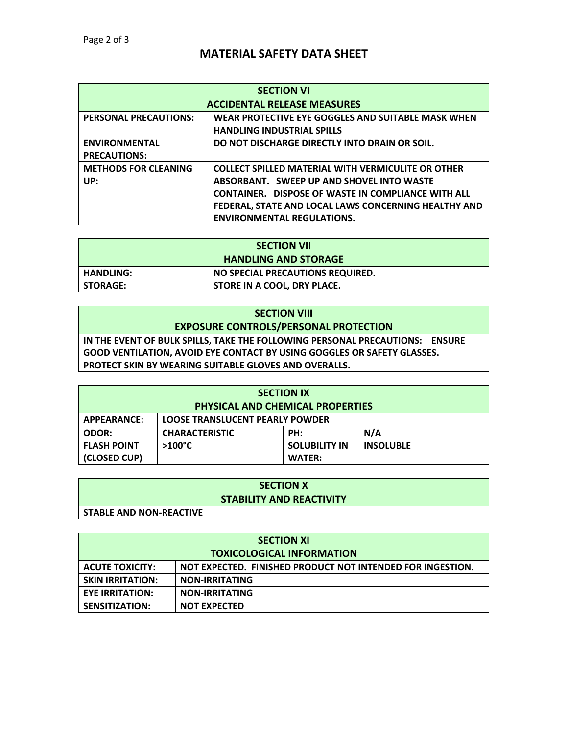# **MATERIAL SAFETY DATA SHEET**

| <b>SECTION VI</b>                  |                                                           |
|------------------------------------|-----------------------------------------------------------|
| <b>ACCIDENTAL RELEASE MEASURES</b> |                                                           |
| <b>PERSONAL PRECAUTIONS:</b>       | WEAR PROTECTIVE EYE GOGGLES AND SUITABLE MASK WHEN        |
|                                    | <b>HANDLING INDUSTRIAL SPILLS</b>                         |
| <b>ENVIRONMENTAL</b>               | DO NOT DISCHARGE DIRECTLY INTO DRAIN OR SOIL.             |
| <b>PRECAUTIONS:</b>                |                                                           |
| <b>METHODS FOR CLEANING</b>        | <b>COLLECT SPILLED MATERIAL WITH VERMICULITE OR OTHER</b> |
| UP:                                | ABSORBANT. SWEEP UP AND SHOVEL INTO WASTE                 |
|                                    | <b>CONTAINER. DISPOSE OF WASTE IN COMPLIANCE WITH ALL</b> |
|                                    | FEDERAL, STATE AND LOCAL LAWS CONCERNING HEALTHY AND      |
|                                    | <b>ENVIRONMENTAL REGULATIONS.</b>                         |

| <b>SECTION VII</b>                                   |  |
|------------------------------------------------------|--|
| <b>HANDLING AND STORAGE</b>                          |  |
| NO SPECIAL PRECAUTIONS REQUIRED.<br><b>HANDLING:</b> |  |
| STORE IN A COOL, DRY PLACE.<br><b>STORAGE:</b>       |  |

| <b>SECTION VIII</b>                                                          |
|------------------------------------------------------------------------------|
| <b>EXPOSURE CONTROLS/PERSONAL PROTECTION</b>                                 |
| IN THE EVENT OF BULK SPILLS, TAKE THE FOLLOWING PERSONAL PRECAUTIONS: ENSURE |
| GOOD VENTILATION. AVOID EYE CONTACT BY USING GOGGLES OR SAFETY GLASSES.      |
| <b>PROTECT SKIN BY WEARING SUITABLE GLOVES AND OVERALLS.</b>                 |
|                                                                              |

| <b>SECTION IX</b>                                     |                       |                      |                  |
|-------------------------------------------------------|-----------------------|----------------------|------------------|
| <b>PHYSICAL AND CHEMICAL PROPERTIES</b>               |                       |                      |                  |
| APPEARANCE:<br><b>LOOSE TRANSLUCENT PEARLY POWDER</b> |                       |                      |                  |
| <b>ODOR:</b>                                          | <b>CHARACTERISTIC</b> | PH:                  | N/A              |
| <b>FLASH POINT</b>                                    | $>100^{\circ}$ C      | <b>SOLUBILITY IN</b> | <b>INSOLUBLE</b> |
| (CLOSED CUP)                                          |                       | <b>WATER:</b>        |                  |

| <b>SECTION X</b>                |  |
|---------------------------------|--|
| <b>STABILITY AND REACTIVITY</b> |  |
| <b>STABLE AND NON-REACTIVE</b>  |  |

| <b>SECTION XI</b>                |                                                            |
|----------------------------------|------------------------------------------------------------|
| <b>TOXICOLOGICAL INFORMATION</b> |                                                            |
| <b>ACUTE TOXICITY:</b>           | NOT EXPECTED. FINISHED PRODUCT NOT INTENDED FOR INGESTION. |
| <b>SKIN IRRITATION:</b>          | <b>NON-IRRITATING</b>                                      |
| <b>EYE IRRITATION:</b>           | <b>NON-IRRITATING</b>                                      |
| SENSITIZATION:                   | <b>NOT EXPECTED</b>                                        |